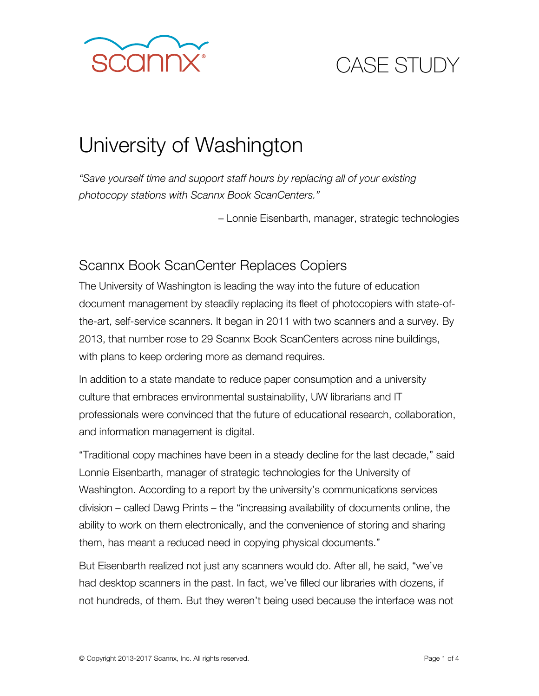

# University of Washington

*"Save yourself time and support staff hours by replacing all of your existing photocopy stations with Scannx Book ScanCenters."* 

– Lonnie Eisenbarth, manager, strategic technologies

### Scannx Book ScanCenter Replaces Copiers

The University of Washington is leading the way into the future of education document management by steadily replacing its fleet of photocopiers with state-ofthe-art, self-service scanners. It began in 2011 with two scanners and a survey. By 2013, that number rose to 29 Scannx Book ScanCenters across nine buildings, with plans to keep ordering more as demand requires.

In addition to a state mandate to reduce paper consumption and a university culture that embraces environmental sustainability, UW librarians and IT professionals were convinced that the future of educational research, collaboration, and information management is digital.

"Traditional copy machines have been in a steady decline for the last decade," said Lonnie Eisenbarth, manager of strategic technologies for the University of Washington. According to a report by the university's communications services division – called Dawg Prints – the "increasing availability of documents online, the ability to work on them electronically, and the convenience of storing and sharing them, has meant a reduced need in copying physical documents."

But Eisenbarth realized not just any scanners would do. After all, he said, "we've had desktop scanners in the past. In fact, we've filled our libraries with dozens, if not hundreds, of them. But they weren't being used because the interface was not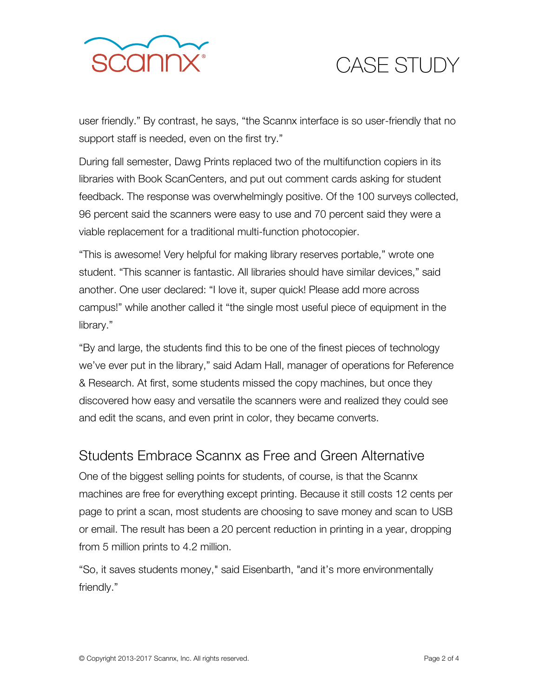

user friendly." By contrast, he says, "the Scannx interface is so user-friendly that no support staff is needed, even on the first try."

During fall semester, Dawg Prints replaced two of the multifunction copiers in its libraries with Book ScanCenters, and put out comment cards asking for student feedback. The response was overwhelmingly positive. Of the 100 surveys collected, 96 percent said the scanners were easy to use and 70 percent said they were a viable replacement for a traditional multi-function photocopier.

"This is awesome! Very helpful for making library reserves portable," wrote one student. "This scanner is fantastic. All libraries should have similar devices," said another. One user declared: "I love it, super quick! Please add more across campus!" while another called it "the single most useful piece of equipment in the library."

"By and large, the students find this to be one of the finest pieces of technology we've ever put in the library," said Adam Hall, manager of operations for Reference & Research. At first, some students missed the copy machines, but once they discovered how easy and versatile the scanners were and realized they could see and edit the scans, and even print in color, they became converts.

#### Students Embrace Scannx as Free and Green Alternative

One of the biggest selling points for students, of course, is that the Scannx machines are free for everything except printing. Because it still costs 12 cents per page to print a scan, most students are choosing to save money and scan to USB or email. The result has been a 20 percent reduction in printing in a year, dropping from 5 million prints to 4.2 million.

"So, it saves students money," said Eisenbarth, "and it's more environmentally friendly."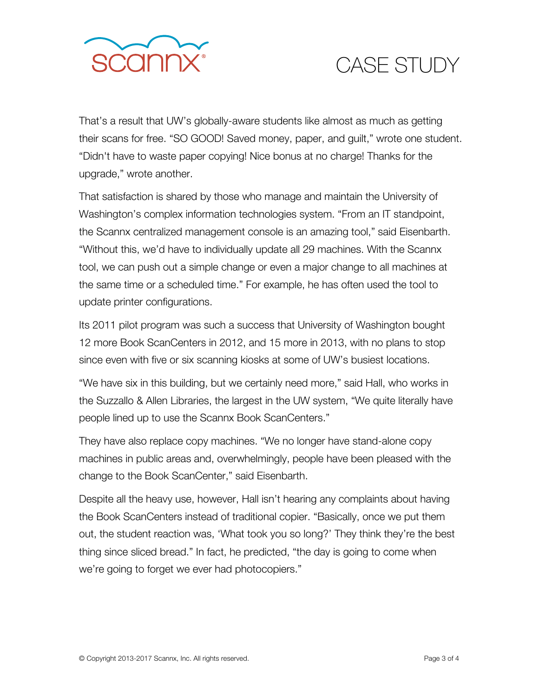

That's a result that UW's globally-aware students like almost as much as getting their scans for free. "SO GOOD! Saved money, paper, and guilt," wrote one student. "Didn't have to waste paper copying! Nice bonus at no charge! Thanks for the upgrade," wrote another.

That satisfaction is shared by those who manage and maintain the University of Washington's complex information technologies system. "From an IT standpoint, the Scannx centralized management console is an amazing tool," said Eisenbarth. "Without this, we'd have to individually update all 29 machines. With the Scannx tool, we can push out a simple change or even a major change to all machines at the same time or a scheduled time." For example, he has often used the tool to update printer configurations.

Its 2011 pilot program was such a success that University of Washington bought 12 more Book ScanCenters in 2012, and 15 more in 2013, with no plans to stop since even with five or six scanning kiosks at some of UW's busiest locations.

"We have six in this building, but we certainly need more," said Hall, who works in the Suzzallo & Allen Libraries, the largest in the UW system, "We quite literally have people lined up to use the Scannx Book ScanCenters."

They have also replace copy machines. "We no longer have stand-alone copy machines in public areas and, overwhelmingly, people have been pleased with the change to the Book ScanCenter," said Eisenbarth.

Despite all the heavy use, however, Hall isn't hearing any complaints about having the Book ScanCenters instead of traditional copier. "Basically, once we put them out, the student reaction was, 'What took you so long?' They think they're the best thing since sliced bread." In fact, he predicted, "the day is going to come when we're going to forget we ever had photocopiers."